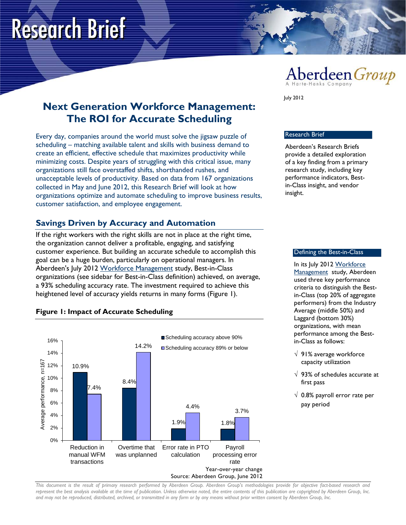# **Research Brief**



**Next Generation Workforce Management: The ROI for Accurate Scheduling**

Every day, companies around the world must solve the jigsaw puzzle of scheduling – matching available talent and skills with business demand to create an efficient, effective schedule that maximizes productivity while minimizing costs. Despite years of struggling with this critical issue, many organizations still face overstaffed shifts, shorthanded rushes, and unacceptable levels of productivity. Based on data from 167 organizations collected in May and June 2012, this Research Brief will look at how organizations optimize and automate scheduling to improve business results, customer satisfaction, and employee engagement.

# **Savings Driven by Accuracy and Automation**

If the right workers with the right skills are not in place at the right time, the organization cannot deliver a profitable, engaging, and satisfying customer experience. But building an accurate schedule to accomplish this goal can be a huge burden, particularly on operational managers. In Aberdeen's July 2012 [Workforce Management](http://www.aberdeen.com/Aberdeen-Library/7505/RA-workforce-employee-management.aspx) study, Best-in-Class organizations (see sidebar for Best-in-Class definition) achieved, on average, a 93% scheduling accuracy rate. The investment required to achieve this heightened level of accuracy yields returns in many forms (Figure 1).

#### **Figure 1: Impact of Accurate Scheduling**



July 2012

#### Research Brief

Aberdeen's Research Briefs provide a detailed exploration of a key finding from a primary research study, including key performance indicators, Bestin-Class insight, and vendor insight.

#### Defining the Best-in-Class

In its July 2012 [Workforce](http://www.aberdeen.com/Aberdeen-Library/7505/RA-workforce-employee-management.aspx)  [Management](http://www.aberdeen.com/Aberdeen-Library/7505/RA-workforce-employee-management.aspx) study, Aberdeen used three key performance criteria to distinguish the Bestin-Class (top 20% of aggregate performers) from the Industry Average (middle 50%) and Laggard (bottom 30%) organizations, with mean performance among the Bestin-Class as follows:

- √ 91% average workforce capacity utilization
- $\sqrt{93\%}$  of schedules accurate at first pass
- $\sqrt{0.8\%}$  payroll error rate per pay period

*This document is the result of primary research performed by Aberdeen Group. Aberdeen Group's methodologies provide for objective fact-based research and represent the best analysis available at the time of publication. Unless otherwise noted, the entire contents of this publication are copyrighted by Aberdeen Group, Inc. and may not be reproduced, distributed, archived, or transmitted in any form or by any means without prior written consent by Aberdeen Group, Inc.*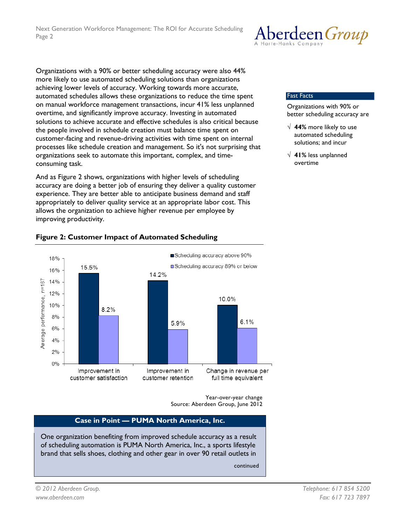Organizations with a 90% or better scheduling accuracy were also 44% more likely to use automated scheduling solutions than organizations achieving lower levels of accuracy. Working towards more accurate, automated schedules allows these organizations to reduce the time spent on manual workforce management transactions, incur 41% less unplanned overtime, and significantly improve accuracy. Investing in automated solutions to achieve accurate and effective schedules is also critical because the people involved in schedule creation must balance time spent on customer-facing and revenue-driving activities with time spent on internal processes like schedule creation and management. So it's not surprising that organizations seek to automate this important, complex, and timeconsuming task.

And as Figure 2 shows, organizations with higher levels of scheduling accuracy are doing a better job of ensuring they deliver a quality customer experience. They are better able to anticipate business demand and staff appropriately to deliver quality service at an appropriate labor cost. This allows the organization to achieve higher revenue per employee by improving productivity.



#### **Figure 2: Customer Impact of Automated Scheduling**

Year-over-year change Source: Aberdeen Group, June 2012

#### **Case in Point — PUMA North America, Inc.**

One organization benefiting from improved schedule accuracy as a result of scheduling automation is PUMA North America, Inc., a sports lifestyle brand that sells shoes, clothing and other gear in over 90 retail outlets in

continued



Fast Facts

Organizations with 90% or better scheduling accuracy are

- √ **44%** more likely to use automated scheduling solutions; and incur
- √ **41%** less unplanned overtime

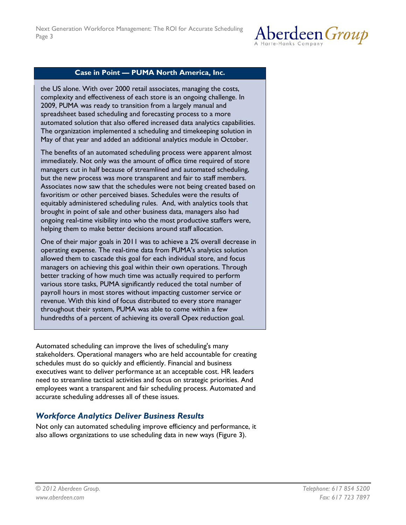

#### **Case in Point — PUMA North America, Inc.**

the US alone. With over 2000 retail associates, managing the costs, complexity and effectiveness of each store is an ongoing challenge. In 2009, PUMA was ready to transition from a largely manual and spreadsheet based scheduling and forecasting process to a more automated solution that also offered increased data analytics capabilities. The organization implemented a scheduling and timekeeping solution in May of that year and added an additional analytics module in October.

The benefits of an automated scheduling process were apparent almost immediately. Not only was the amount of office time required of store managers cut in half because of streamlined and automated scheduling, but the new process was more transparent and fair to staff members. Associates now saw that the schedules were not being created based on favoritism or other perceived biases. Schedules were the results of equitably administered scheduling rules. And, with analytics tools that brought in point of sale and other business data, managers also had ongoing real-time visibility into who the most productive staffers were, helping them to make better decisions around staff allocation.

One of their major goals in 2011 was to achieve a 2% overall decrease in operating expense. The real-time data from PUMA's analytics solution allowed them to cascade this goal for each individual store, and focus managers on achieving this goal within their own operations. Through better tracking of how much time was actually required to perform various store tasks, PUMA significantly reduced the total number of payroll hours in most stores without impacting customer service or revenue. With this kind of focus distributed to every store manager throughout their system, PUMA was able to come within a few hundredths of a percent of achieving its overall Opex reduction goal.

Automated scheduling can improve the lives of scheduling's many stakeholders. Operational managers who are held accountable for creating schedules must do so quickly and efficiently. Financial and business executives want to deliver performance at an acceptable cost. HR leaders need to streamline tactical activities and focus on strategic priorities. And employees want a transparent and fair scheduling process. Automated and accurate scheduling addresses all of these issues.

### *Workforce Analytics Deliver Business Results*

Not only can automated scheduling improve efficiency and performance, it also allows organizations to use scheduling data in new ways (Figure 3).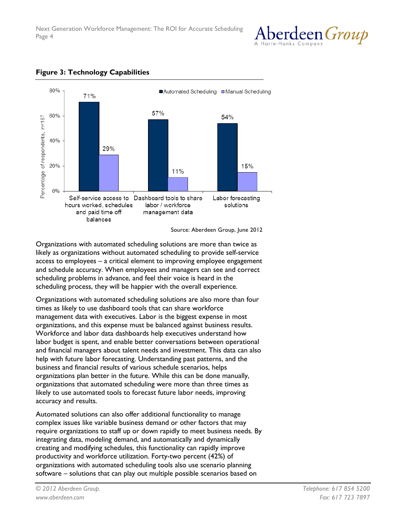



## **Figure 3: Technology Capabilities**

Source: Aberdeen Group, June 2012

Organizations with automated scheduling solutions are more than twice as likely as organizations without automated scheduling to provide self-service access to employees – a critical element to improving employee engagement and schedule accuracy. When employees and managers can see and correct scheduling problems in advance, and feel their voice is heard in the scheduling process, they will be happier with the overall experience.

Organizations with automated scheduling solutions are also more than four times as likely to use dashboard tools that can share workforce management data with executives. Labor is the biggest expense in most organizations, and this expense must be balanced against business results. Workforce and labor data dashboards help executives understand how labor budget is spent, and enable better conversations between operational and financial managers about talent needs and investment. This data can also help with future labor forecasting. Understanding past patterns, and the business and financial results of various schedule scenarios, helps organizations plan better in the future. While this can be done manually, organizations that automated scheduling were more than three times as likely to use automated tools to forecast future labor needs, improving accuracy and results.

Automated solutions can also offer additional functionality to manage complex issues like variable business demand or other factors that may require organizations to staff up or down rapidly to meet business needs. By integrating data, modeling demand, and automatically and dynamically creating and modifying schedules, this functionality can rapidly improve productivity and workforce utilization. Forty-two percent (42%) of organizations with automated scheduling tools also use scenario planning software – solutions that can play out multiple possible scenarios based on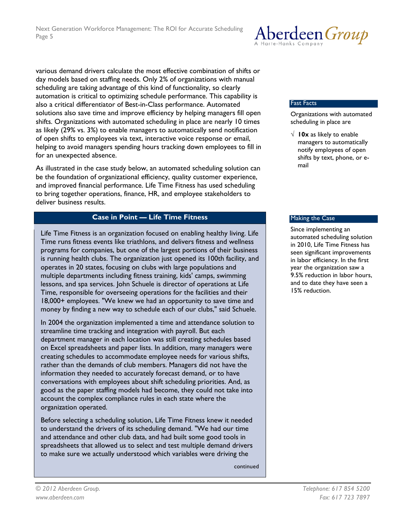Aberdeen Group

various demand drivers calculate the most effective combination of shifts or day models based on staffing needs. Only 2% of organizations with manual scheduling are taking advantage of this kind of functionality, so clearly automation is critical to optimizing schedule performance. This capability is also a critical differentiator of Best-in-Class performance. Automated solutions also save time and improve efficiency by helping managers fill open shifts. Organizations with automated scheduling in place are nearly 10 times as likely (29% vs. 3%) to enable managers to automatically send notification of open shifts to employees via text, interactive voice response or email, helping to avoid managers spending hours tracking down employees to fill in for an unexpected absence.

As illustrated in the case study below, an automated scheduling solution can be the foundation of organizational efficiency, quality customer experience, and improved financial performance. Life Time Fitness has used scheduling to bring together operations, finance, HR, and employee stakeholders to deliver business results.

#### **Case in Point — Life Time Fitness**

Life Time Fitness is an organization focused on enabling healthy living. Life Time runs fitness events like triathlons, and delivers fitness and wellness programs for companies, but one of the largest portions of their business is running health clubs. The organization just opened its 100th facility, and operates in 20 states, focusing on clubs with large populations and multiple departments including fitness training, kids' camps, swimming lessons, and spa services. John Schuele is director of operations at Life Time, responsible for overseeing operations for the facilities and their 18,000+ employees. "We knew we had an opportunity to save time and money by finding a new way to schedule each of our clubs," said Schuele.

In 2004 the organization implemented a time and attendance solution to streamline time tracking and integration with payroll. But each department manager in each location was still creating schedules based on Excel spreadsheets and paper lists. In addition, many managers were creating schedules to accommodate employee needs for various shifts, rather than the demands of club members. Managers did not have the information they needed to accurately forecast demand, or to have conversations with employees about shift scheduling priorities. And, as good as the paper staffing models had become, they could not take into account the complex compliance rules in each state where the organization operated.

Before selecting a scheduling solution, Life Time Fitness knew it needed to understand the drivers of its scheduling demand. "We had our time and attendance and other club data, and had built some good tools in spreadsheets that allowed us to select and test multiple demand drivers to make sure we actually understood which variables were driving the

continued

#### Fast Facts

Organizations with automated scheduling in place are

√ **10x** as likely to enable managers to automatically notify employees of open shifts by text, phone, or email

#### Making the Case

Since implementing an automated scheduling solution in 2010, Life Time Fitness has seen significant improvements in labor efficiency. In the first year the organization saw a 9.5% reduction in labor hours, and to date they have seen a 15% reduction.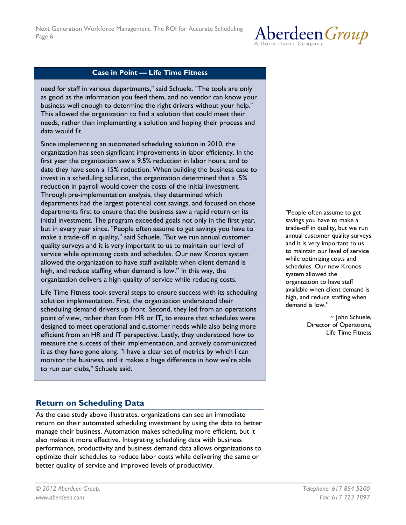

#### **Case in Point — Life Time Fitness**

need for staff in various departments," said Schuele. "The tools are only as good as the information you feed them, and no vendor can know your business well enough to determine the right drivers without your help." This allowed the organization to find a solution that could meet their needs, rather than implementing a solution and hoping their process and data would fit.

Since implementing an automated scheduling solution in 2010, the organization has seen significant improvements in labor efficiency. In the first year the organization saw a 9.5% reduction in labor hours, and to date they have seen a 15% reduction. When building the business case to invest in a scheduling solution, the organization determined that a .5% reduction in payroll would cover the costs of the initial investment. Through pre-implementation analysis, they determined which departments had the largest potential cost savings, and focused on those departments first to ensure that the business saw a rapid return on its initial investment. The program exceeded goals not only in the first year, but in every year since. "People often assume to get savings you have to make a trade-off in quality," said Schuele. "But we run annual customer quality surveys and it is very important to us to maintain our level of service while optimizing costs and schedules. Our new Kronos system allowed the organization to have staff available when client demand is high, and reduce staffing when demand is low." In this way, the organization delivers a high quality of service while reducing costs.

Life Time Fitness took several steps to ensure success with its scheduling solution implementation. First, the organization understood their scheduling demand drivers up front. Second, they led from an operations point of view, rather than from HR or IT, to ensure that schedules were designed to meet operational and customer needs while also being more efficient from an HR and IT perspective. Lastly, they understood how to measure the success of their implementation, and actively communicated it as they have gone along. "I have a clear set of metrics by which I can monitor the business, and it makes a huge difference in how we're able to run our clubs," Schuele said.

**Return on Scheduling Data**

As the case study above illustrates, organizations can see an immediate return on their automated scheduling investment by using the data to better manage their business. Automation makes scheduling more efficient, but it also makes it more effective. Integrating scheduling data with business performance, productivity and business demand data allows organizations to optimize their schedules to reduce labor costs while delivering the same or better quality of service and improved levels of productivity.

"People often assume to get savings you have to make a trade-off in quality, but we run annual customer quality surveys and it is very important to us to maintain our level of service while optimizing costs and schedules. Our new Kronos system allowed the organization to have staff available when client demand is high, and reduce staffing when demand is low."

> ~ John Schuele, Director of Operations, Life Time Fitness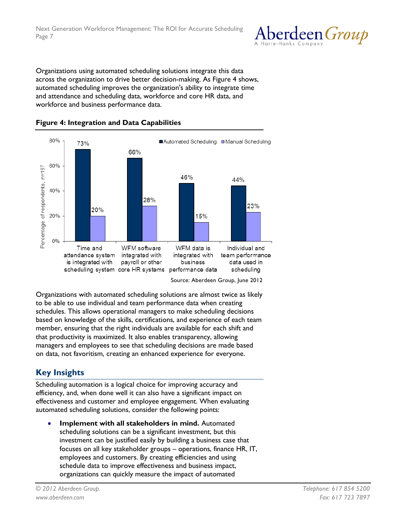

Organizations using automated scheduling solutions integrate this data across the organization to drive better decision-making. As Figure 4 shows, automated scheduling improves the organization's ability to integrate time and attendance and scheduling data, workforce and core HR data, and workforce and business performance data.



**Figure 4: Integration and Data Capabilities**

Source: Aberdeen Group, June 2012

Organizations with automated scheduling solutions are almost twice as likely to be able to use individual and team performance data when creating schedules. This allows operational managers to make scheduling decisions based on knowledge of the skills, certifications, and experience of each team member, ensuring that the right individuals are available for each shift and that productivity is maximized. It also enables transparency, allowing managers and employees to see that scheduling decisions are made based on data, not favoritism, creating an enhanced experience for everyone.

# **Key Insights**

Scheduling automation is a logical choice for improving accuracy and efficiency, and, when done well it can also have a significant impact on effectiveness and customer and employee engagement. When evaluating automated scheduling solutions, consider the following points:

• **Implement with all stakeholders in mind.** Automated scheduling solutions can be a significant investment, but this investment can be justified easily by building a business case that focuses on all key stakeholder groups – operations, finance HR, IT, employees and customers. By creating efficiencies and using schedule data to improve effectiveness and business impact, organizations can quickly measure the impact of automated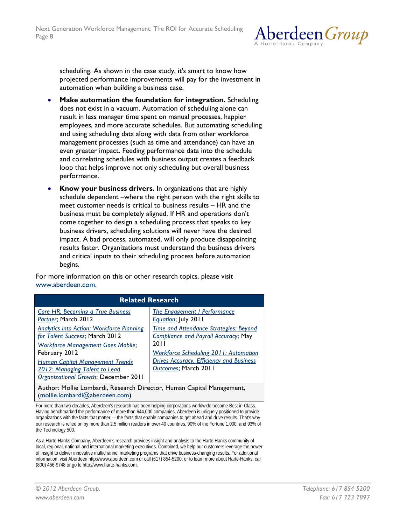

scheduling. As shown in the case study, it's smart to know how projected performance improvements will pay for the investment in automation when building a business case.

- **Make automation the foundation for integration.** Scheduling does not exist in a vacuum. Automation of scheduling alone can result in less manager time spent on manual processes, happier employees, and more accurate schedules. But automating scheduling and using scheduling data along with data from other workforce management processes (such as time and attendance) can have an even greater impact. Feeding performance data into the schedule and correlating schedules with business output creates a feedback loop that helps improve not only scheduling but overall business performance.
- **Know your business drivers.** In organizations that are highly schedule dependent –where the right person with the right skills to meet customer needs is critical to business results – HR and the business must be completely aligned. If HR and operations don't come together to design a scheduling process that speaks to key business drivers, scheduling solutions will never have the desired impact. A bad process, automated, will only produce disappointing results faster. Organizations must understand the business drivers and critical inputs to their scheduling process before automation begins.

For more information on this or other research topics, please visit [www.aberdeen.com.](http://www.aberdeen.com/)

| <b>Related Research</b>                                                                                       |                                                 |
|---------------------------------------------------------------------------------------------------------------|-------------------------------------------------|
| <b>Core HR: Becoming a True Business</b>                                                                      | <b>The Engagement / Performance</b>             |
| Partner; March 2012                                                                                           | Equation; July 2011                             |
| <b>Analytics into Action: Workforce Planning</b>                                                              | <b>Time and Attendance Strategies: Beyond</b>   |
| for Talent Success; March 2012                                                                                | <b>Compliance and Payroll Accuracy; May</b>     |
| <b>Workforce Management Goes Mobile;</b>                                                                      | 20 I I                                          |
| February 2012                                                                                                 | <b>Workforce Scheduling 2011: Automation</b>    |
| <b>Human Capital Management Trends</b>                                                                        | <b>Drives Accuracy, Efficiency and Business</b> |
| 2012: Managing Talent to Lead                                                                                 | Outcomes; March 2011                            |
| Organizational Growth; December 2011<br>Author: Mollie Lombardi, Research Director, Human Capital Management, |                                                 |

[\(mollie.lombardi@aberdeen.com\)](mailto:mollie.lombardi@aberdeen.com)

For more than two decades, Aberdeen's research has been helping corporations worldwide become Best-in-Class. Having benchmarked the performance of more than 644,000 companies, Aberdeen is uniquely positioned to provide organizations with the facts that matter — the facts that enable companies to get ahead and drive results. That's why our research is relied on by more than 2.5 million readers in over 40 countries, 90% of the Fortune 1,000, and 93% of the Technology 500.

As a Harte-Hanks Company, Aberdeen's research provides insight and analysis to the Harte-Hanks community of local, regional, national and international marketing executives. Combined, we help our customers leverage the power of insight to deliver innovative multichannel marketing programs that drive business-changing results. For additional information, visit Aberdeen http://www.aberdeen.com or call (617) 854-5200, or to learn more about Harte-Hanks, call (800) 456-9748 or go to http://www.harte-hanks.com.